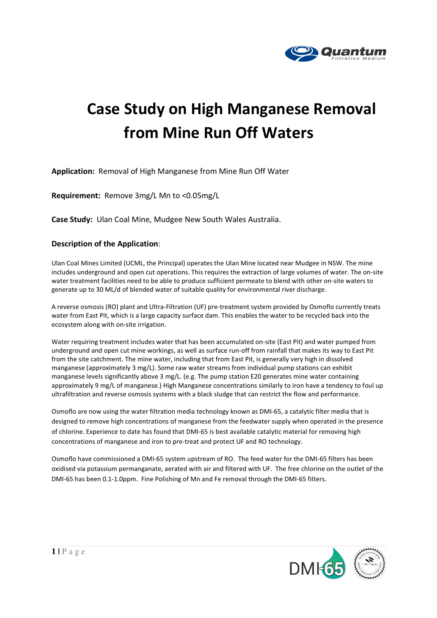

## Case Study on High Manganese Removal from Mine Run Off Waters

Application: Removal of High Manganese from Mine Run Off Water

Requirement: Remove 3mg/L Mn to <0.05mg/L

Case Study: Ulan Coal Mine, Mudgee New South Wales Australia.

## Description of the Application:

Ulan Coal Mines Limited (UCML, the Principal) operates the Ulan Mine located near Mudgee in NSW. The mine includes underground and open cut operations. This requires the extraction of large volumes of water. The on-site water treatment facilities need to be able to produce sufficient permeate to blend with other on-site waters to generate up to 30 ML/d of blended water of suitable quality for environmental river discharge.

A reverse osmosis (RO) plant and Ultra-Filtration (UF) pre-treatment system provided by Osmoflo currently treats water from East Pit, which is a large capacity surface dam. This enables the water to be recycled back into the ecosystem along with on-site irrigation.

Water requiring treatment includes water that has been accumulated on-site (East Pit) and water pumped from underground and open cut mine workings, as well as surface run-off from rainfall that makes its way to East Pit from the site catchment. The mine water, including that from East Pit, is generally very high in dissolved manganese (approximately 3 mg/L). Some raw water streams from individual pump stations can exhibit manganese levels significantly above 3 mg/L. (e.g. The pump station E20 generates mine water containing approximately 9 mg/L of manganese.) High Manganese concentrations similarly to iron have a tendency to foul up ultrafiltration and reverse osmosis systems with a black sludge that can restrict the flow and performance.

Osmoflo are now using the water filtration media technology known as DMI-65, a catalytic filter media that is designed to remove high concentrations of manganese from the feedwater supply when operated in the presence of chlorine. Experience to date has found that DMI-65 is best available catalytic material for removing high concentrations of manganese and iron to pre-treat and protect UF and RO technology.

Osmoflo have commissioned a DMI-65 system upstream of RO. The feed water for the DMI-65 filters has been oxidised via potassium permanganate, aerated with air and filtered with UF. The free chlorine on the outlet of the DMI-65 has been 0.1-1.0ppm. Fine Polishing of Mn and Fe removal through the DMI-65 filters.

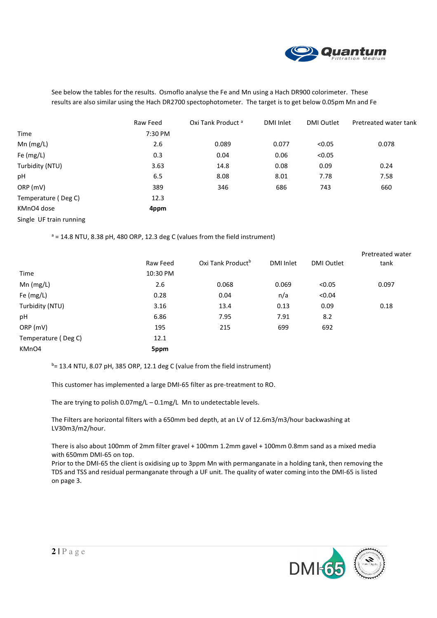

See below the tables for the results. Osmoflo analyse the Fe and Mn using a Hach DR900 colorimeter. These results are also similar using the Hach DR2700 spectophotometer. The target is to get below 0.05pm Mn and Fe

|                         | Raw Feed | Oxi Tank Product <sup>a</sup> | DMI Inlet | <b>DMI Outlet</b> | Pretreated water tank |
|-------------------------|----------|-------------------------------|-----------|-------------------|-----------------------|
| <b>Time</b>             | 7:30 PM  |                               |           |                   |                       |
| $Mn$ (mg/L)             | 2.6      | 0.089                         | 0.077     | < 0.05            | 0.078                 |
| Fe (mg/L)               | 0.3      | 0.04                          | 0.06      | < 0.05            |                       |
| Turbidity (NTU)         | 3.63     | 14.8                          | 0.08      | 0.09              | 0.24                  |
| рH                      | 6.5      | 8.08                          | 8.01      | 7.78              | 7.58                  |
| ORP (mV)                | 389      | 346                           | 686       | 743               | 660                   |
| Temperature (Deg C)     | 12.3     |                               |           |                   |                       |
| KMnO4 dose              | 4ppm     |                               |           |                   |                       |
| Single UF train running |          |                               |           |                   |                       |

 $a = 14.8$  NTU, 8.38 pH, 480 ORP, 12.3 deg C (values from the field instrument)

|          |          |                               |           | Pretreated water<br>tank |
|----------|----------|-------------------------------|-----------|--------------------------|
| 10:30 PM |          |                               |           |                          |
| 2.6      | 0.068    | 0.069                         | < 0.05    | 0.097                    |
| 0.28     | 0.04     | n/a                           | < 0.04    |                          |
| 3.16     | 13.4     | 0.13                          | 0.09      | 0.18                     |
| 6.86     | 7.95     | 7.91                          | 8.2       |                          |
| 195      | 215      | 699                           | 692       |                          |
| 12.1     |          |                               |           |                          |
| 5ppm     |          |                               |           |                          |
|          | Raw Feed | Oxi Tank Product <sup>b</sup> | DMI Inlet | <b>DMI Outlet</b>        |

 $b= 13.4$  NTU, 8.07 pH, 385 ORP, 12.1 deg C (value from the field instrument)

This customer has implemented a large DMI-65 filter as pre-treatment to RO.

The are trying to polish 0.07mg/L – 0.1mg/L Mn to undetectable levels.

The Filters are horizontal filters with a 650mm bed depth, at an LV of 12.6m3/m3/hour backwashing at LV30m3/m2/hour.

There is also about 100mm of 2mm filter gravel + 100mm 1.2mm gavel + 100mm 0.8mm sand as a mixed media with 650mm DMI-65 on top.

Prior to the DMI-65 the client is oxidising up to 3ppm Mn with permanganate in a holding tank, then removing the TDS and TSS and residual permanganate through a UF unit. The quality of water coming into the DMI-65 is listed on page 3.